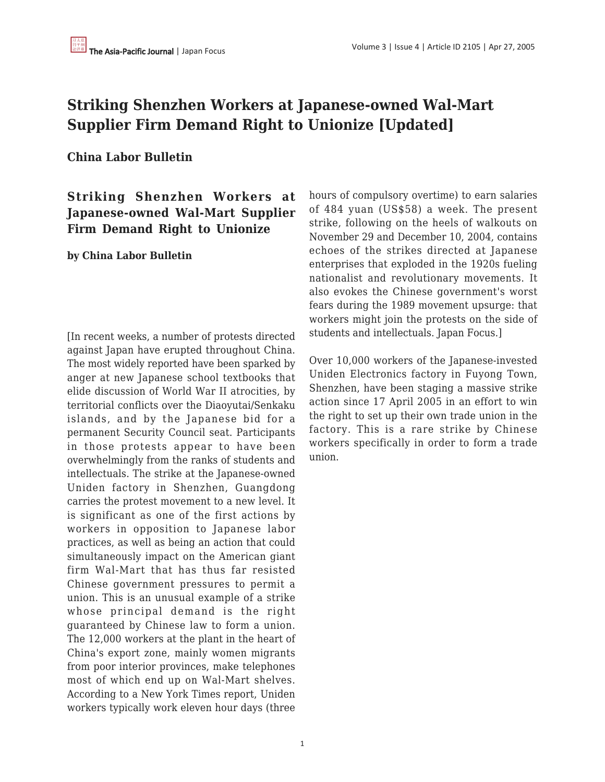# **Striking Shenzhen Workers at Japanese-owned Wal-Mart Supplier Firm Demand Right to Unionize [Updated]**

### **China Labor Bulletin**

## **Striking Shenzhen Workers at Japanese-owned Wal-Mart Supplier Firm Demand Right to Unionize**

**by China Labor Bulletin**

[In recent weeks, a number of protests directed against Japan have erupted throughout China. The most widely reported have been sparked by anger at new Japanese school textbooks that elide discussion of World War II atrocities, by territorial conflicts over the Diaoyutai/Senkaku islands, and by the Japanese bid for a permanent Security Council seat. Participants in those protests appear to have been overwhelmingly from the ranks of students and intellectuals. The strike at the Japanese-owned Uniden factory in Shenzhen, Guangdong carries the protest movement to a new level. It is significant as one of the first actions by workers in opposition to Japanese labor practices, as well as being an action that could simultaneously impact on the American giant firm Wal-Mart that has thus far resisted Chinese government pressures to permit a union. This is an unusual example of a strike whose principal demand is the right guaranteed by Chinese law to form a union. The 12,000 workers at the plant in the heart of China's export zone, mainly women migrants from poor interior provinces, make telephones most of which end up on Wal-Mart shelves. According to a New York Times report, Uniden workers typically work eleven hour days (three hours of compulsory overtime) to earn salaries of 484 yuan (US\$58) a week. The present strike, following on the heels of walkouts on November 29 and December 10, 2004, contains echoes of the strikes directed at Japanese enterprises that exploded in the 1920s fueling nationalist and revolutionary movements. It also evokes the Chinese government's worst fears during the 1989 movement upsurge: that workers might join the protests on the side of students and intellectuals. Japan Focus.]

Over 10,000 workers of the Japanese-invested Uniden Electronics factory in Fuyong Town, Shenzhen, have been staging a massive strike action since 17 April 2005 in an effort to win the right to set up their own trade union in the factory. This is a rare strike by Chinese workers specifically in order to form a trade union.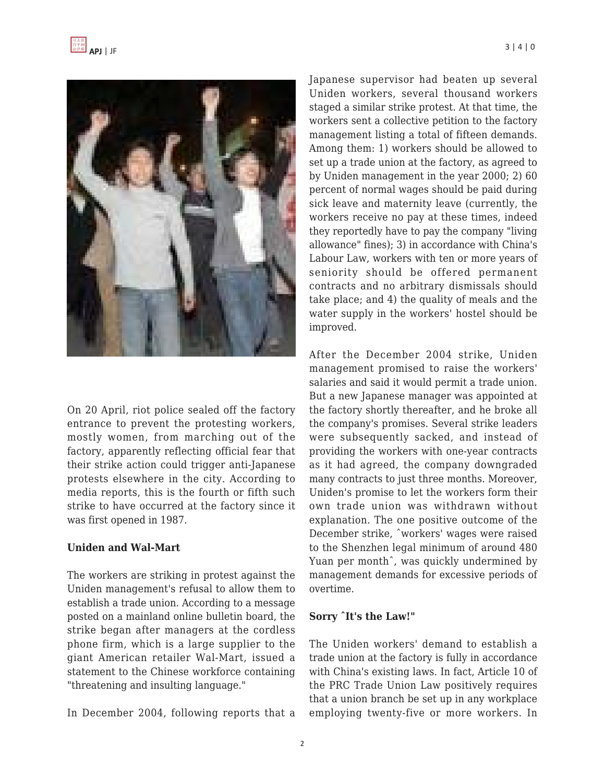

On 20 April, riot police sealed off the factory entrance to prevent the protesting workers, mostly women, from marching out of the factory, apparently reflecting official fear that their strike action could trigger anti-Japanese protests elsewhere in the city. According to media reports, this is the fourth or fifth such strike to have occurred at the factory since it was first opened in 1987.

### **Uniden and Wal-Mart**

The workers are striking in protest against the Uniden management's refusal to allow them to establish a trade union. According to a message posted on a mainland online bulletin board, the strike began after managers at the cordless phone firm, which is a large supplier to the giant American retailer Wal-Mart, issued a statement to the Chinese workforce containing "threatening and insulting language."

In December 2004, following reports that a

Japanese supervisor had beaten up several Uniden workers, several thousand workers staged a similar strike protest. At that time, the workers sent a collective petition to the factory management listing a total of fifteen demands. Among them: 1) workers should be allowed to set up a trade union at the factory, as agreed to by Uniden management in the year 2000; 2) 60 percent of normal wages should be paid during sick leave and maternity leave (currently, the workers receive no pay at these times, indeed they reportedly have to pay the company "living allowance" fines); 3) in accordance with China's Labour Law, workers with ten or more years of seniority should be offered permanent contracts and no arbitrary dismissals should take place; and 4) the quality of meals and the water supply in the workers' hostel should be improved.

After the December 2004 strike, Uniden management promised to raise the workers' salaries and said it would permit a trade union. But a new Japanese manager was appointed at the factory shortly thereafter, and he broke all the company's promises. Several strike leaders were subsequently sacked, and instead of providing the workers with one-year contracts as it had agreed, the company downgraded many contracts to just three months. Moreover, Uniden's promise to let the workers form their own trade union was withdrawn without explanation. The one positive outcome of the December strike, ˆworkers' wages were raised to the Shenzhen legal minimum of around 480 Yuan per monthˆ, was quickly undermined by management demands for excessive periods of overtime.

### **Sorry ˆIt's the Law!"**

The Uniden workers' demand to establish a trade union at the factory is fully in accordance with China's existing laws. In fact, Article 10 of the PRC Trade Union Law positively requires that a union branch be set up in any workplace employing twenty-five or more workers. In